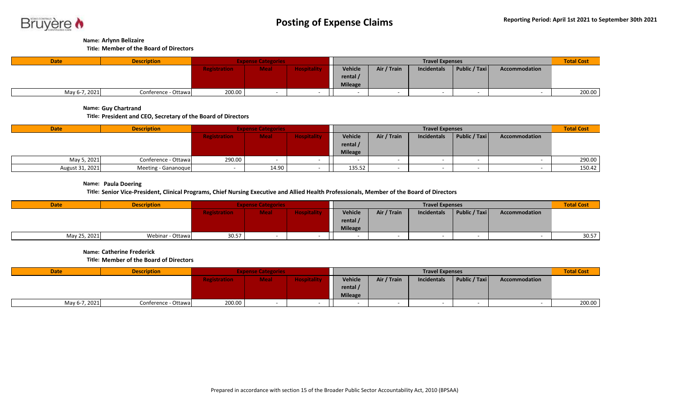

## **Name: Arlynn Belizaire**

**Title: Member of the Board of Directors**

| <b>Date</b>   | <b>Description</b>  | <b>Expense Categories</b> |             |                    |                | <b>Total Cost</b> |             |               |               |        |
|---------------|---------------------|---------------------------|-------------|--------------------|----------------|-------------------|-------------|---------------|---------------|--------|
|               |                     | <b>Registration</b>       | <b>Meal</b> | <b>Hospitality</b> | Vehicle        | Air / Train       | Incidentals | Public / Taxi | Accommodation |        |
|               |                     |                           |             |                    | rental /       |                   |             |               |               |        |
|               |                     |                           |             |                    | <b>Mileage</b> |                   |             |               |               |        |
| May 6-7, 2021 | Conference - Ottawa | 200.00                    |             |                    |                |                   |             |               |               | 200.00 |

**Name: Guy Chartrand**

**Title: President and CEO, Secretary of the Board of Directors**

| <b>Date</b>     | <b>Description</b>  | <b>Expense Categories</b> |             |                    |                | <b>Total Cost</b> |             |               |               |        |
|-----------------|---------------------|---------------------------|-------------|--------------------|----------------|-------------------|-------------|---------------|---------------|--------|
|                 |                     | <b>Registration</b>       | <b>Meal</b> | <b>Hospitality</b> | Vehicle        | Air / Train       | Incidentals | Public / Taxi | Accommodation |        |
|                 |                     |                           |             |                    | rental /       |                   |             |               |               |        |
|                 |                     |                           |             |                    | <b>Mileage</b> |                   |             |               |               |        |
| May 5, 2021     | Conference - Ottawa | 290.00                    |             |                    |                |                   |             |               |               | 290.00 |
| August 31, 2021 | Meeting - Gananoque |                           | 14.90       |                    | 135.52         |                   |             |               |               | 150.42 |

**Name: Paula Doering**

**Title: Senior Vice-President, Clinical Programs, Chief Nursing Executive and Allied Health Professionals, Member of the Board of Directors**

| <b>Date</b>  | <b>Description</b> | <b>Expense Categories</b> |             |             |                | <b>Total Cost</b> |                    |                          |               |       |
|--------------|--------------------|---------------------------|-------------|-------------|----------------|-------------------|--------------------|--------------------------|---------------|-------|
|              |                    | <b>Registration</b>       | <b>Meal</b> | Hospitality | Vehicle        | Air / Train       | <b>Incidentals</b> | Public / Taxi            | Accommodation |       |
|              |                    |                           |             |             | rental /       |                   |                    |                          |               |       |
|              |                    |                           |             |             | <b>Mileage</b> |                   |                    |                          |               |       |
| May 25, 2021 | Webinar - Ottawa   | 30.57                     |             |             |                |                   |                    | $\overline{\phantom{0}}$ |               | 30.57 |

**Name: Catherine Frederick**

**Title: Member of the Board of Directors**

| <b>Date</b>   | <b>Description</b>  | <b>Expense Categories</b>                                |  |         |                | <b>Total Cost</b> |               |               |  |        |
|---------------|---------------------|----------------------------------------------------------|--|---------|----------------|-------------------|---------------|---------------|--|--------|
|               |                     | <b>Hospitality</b><br><b>Meal</b><br><b>Registration</b> |  | Vehicle | Air / Train    | Incidentals       | Public / Taxi | Accommodation |  |        |
|               |                     |                                                          |  |         | rental /       |                   |               |               |  |        |
|               |                     |                                                          |  |         | <b>Mileage</b> |                   |               |               |  |        |
| May 6-7, 2021 | Conference - Ottawa | 200.00                                                   |  |         |                |                   |               |               |  | 200.00 |